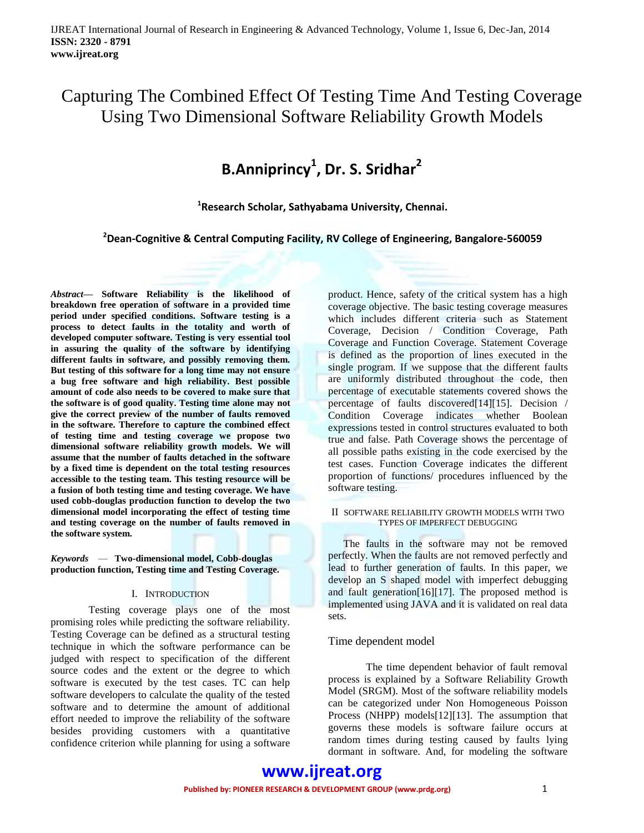## Capturing The Combined Effect Of Testing Time And Testing Coverage Using Two Dimensional Software Reliability Growth Models

# **B.Anniprincy<sup>1</sup> , Dr. S. Sridhar<sup>2</sup>**

**1 Research Scholar, Sathyabama University, Chennai.**

**<sup>2</sup>Dean-Cognitive & Central Computing Facility, RV College of Engineering, Bangalore-560059**

*Abstract***— Software Reliability is the likelihood of breakdown free operation of software in a provided time period under specified conditions. Software testing is a process to detect faults in the totality and worth of developed computer software. Testing is very essential tool in assuring the quality of the software by identifying different faults in software, and possibly removing them. But testing of this software for a long time may not ensure a bug free software and high reliability. Best possible amount of code also needs to be covered to make sure that the software is of good quality. Testing time alone may not give the correct preview of the number of faults removed in the software. Therefore to capture the combined effect of testing time and testing coverage we propose two dimensional software reliability growth models. We will assume that the number of faults detached in the software by a fixed time is dependent on the total testing resources accessible to the testing team. This testing resource will be a fusion of both testing time and testing coverage. We have used cobb-douglas production function to develop the two dimensional model incorporating the effect of testing time and testing coverage on the number of faults removed in the software system.**

#### *Keywords* — **Two-dimensional model, Cobb-douglas production function, Testing time and Testing Coverage.**

#### I. INTRODUCTION

Testing coverage plays one of the most promising roles while predicting the software reliability. Testing Coverage can be defined as a structural testing technique in which the software performance can be judged with respect to specification of the different source codes and the extent or the degree to which software is executed by the test cases. TC can help software developers to calculate the quality of the tested software and to determine the amount of additional effort needed to improve the reliability of the software besides providing customers with a quantitative confidence criterion while planning for using a software

product. Hence, safety of the critical system has a high coverage objective. The basic testing coverage measures which includes different criteria such as Statement Coverage, Decision / Condition Coverage, Path Coverage and Function Coverage. Statement Coverage is defined as the proportion of lines executed in the single program. If we suppose that the different faults are uniformly distributed throughout the code, then percentage of executable statements covered shows the percentage of faults discovered[14][15]. Decision / Condition Coverage indicates whether Boolean expressions tested in control structures evaluated to both true and false. Path Coverage shows the percentage of all possible paths existing in the code exercised by the test cases. Function Coverage indicates the different proportion of functions/ procedures influenced by the software testing.

#### II SOFTWARE RELIABILITY GROWTH MODELS WITH TWO TYPES OF IMPERFECT DEBUGGING

The faults in the software may not be removed perfectly. When the faults are not removed perfectly and lead to further generation of faults. In this paper, we develop an S shaped model with imperfect debugging and fault generation[16][17]. The proposed method is implemented using JAVA and it is validated on real data sets.

#### Time dependent model

The time dependent behavior of fault removal process is explained by a Software Reliability Growth Model (SRGM). Most of the software reliability models can be categorized under Non Homogeneous Poisson Process (NHPP) models[12][13]. The assumption that governs these models is software failure occurs at random times during testing caused by faults lying dormant in software. And, for modeling the software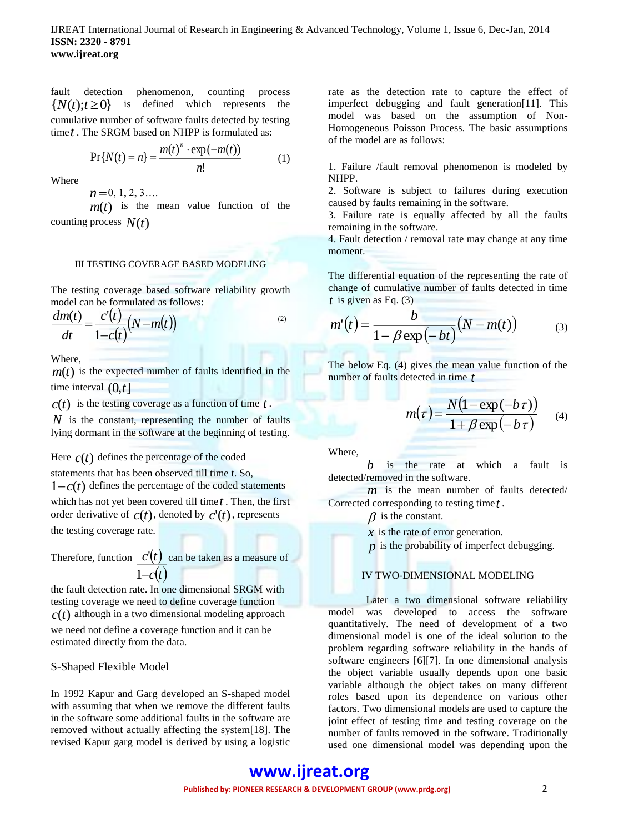fault detection phenomenon, counting process  ${N(t): t \geq 0}$ is defined which represents the cumulative number of software faults detected by testing time *t* . The SRGM based on NHPP is formulated as:

$$
Pr{N(t) = n} = \frac{m(t)^{n} \cdot exp(-m(t))}{n!}
$$
 (1)

Where

$$
n=0,1,2,3\ldots
$$

 $m(t)$  is the mean value function of the counting process *N*(*t*)

#### III TESTING COVERAGE BASED MODELING

The testing coverage based software reliability growth model can be formulated as follows:

$$
\frac{dm(t)}{dt} = \frac{c'(t)}{1-c(t)}(N-m(t))
$$
\n<sup>(2)</sup>

Where,

 $m(t)$  is the expected number of faults identified in the time interval (0,*t*]

 $c(t)$  is the testing coverage as a function of time  $t$ .

*N* is the constant, representing the number of faults lying dormant in the software at the beginning of testing.

Here  $c(t)$  defines the percentage of the coded

statements that has been observed till time t. So,

 $1 - c(t)$  defines the percentage of the coded statements which has not yet been covered till time *t* . Then, the first order derivative of  $c(t)$ , denoted by  $c'(t)$ , represents the testing coverage rate.

Therefore, function  $c'(t)$  can be taken as a measure of  $1-c(t)$ 

the fault detection rate. In one dimensional SRGM with testing coverage we need to define coverage function  $c(t)$  although in a two dimensional modeling approach we need not define a coverage function and it can be estimated directly from the data.

#### S-Shaped Flexible Model

In 1992 Kapur and Garg developed an S-shaped model with assuming that when we remove the different faults in the software some additional faults in the software are removed without actually affecting the system[18]. The revised Kapur garg model is derived by using a logistic

rate as the detection rate to capture the effect of imperfect debugging and fault generation[11]. This model was based on the assumption of Non-Homogeneous Poisson Process. The basic assumptions of the model are as follows:

1. Failure /fault removal phenomenon is modeled by NHPP.

2. Software is subject to failures during execution caused by faults remaining in the software.

3. Failure rate is equally affected by all the faults remaining in the software.

4. Fault detection / removal rate may change at any time moment.

The differential equation of the representing the rate of change of cumulative number of faults detected in time *t* is given as Eq. (3)

$$
m'(t) = \frac{b}{1 - \beta \exp(-bt)}(N - m(t))
$$
 (3)

The below Eq. (4) gives the mean value function of the number of faults detected in time *t*

$$
m(\tau) = \frac{N(1 - \exp(-b\tau))}{1 + \beta \exp(-b\tau)}
$$
 (4)

Where,

*b* is the rate at which a fault is detected/removed in the software.

*m* is the mean number of faults detected/ Corrected corresponding to testing time *t* .

 $\beta$  is the constant.

*x* is the rate of error generation.

*p* is the probability of imperfect debugging.

#### IV TWO-DIMENSIONAL MODELING

Later a two dimensional software reliability model was developed to access the software quantitatively. The need of development of a two dimensional model is one of the ideal solution to the problem regarding software reliability in the hands of software engineers [6][7]. In one dimensional analysis the object variable usually depends upon one basic variable although the object takes on many different roles based upon its dependence on various other factors. Two dimensional models are used to capture the joint effect of testing time and testing coverage on the number of faults removed in the software. Traditionally used one dimensional model was depending upon the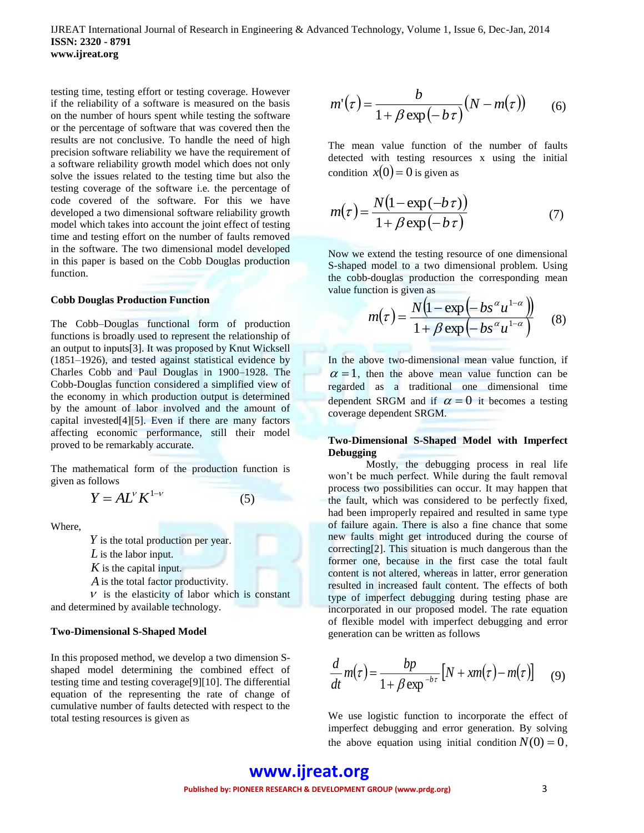IJREAT International Journal of Research in Engineering & Advanced Technology, Volume 1, Issue 6, Dec-Jan, 2014 **ISSN: 2320 - 8791 www.ijreat.org**

testing time, testing effort or testing coverage. However if the reliability of a software is measured on the basis on the number of hours spent while testing the software or the percentage of software that was covered then the results are not conclusive. To handle the need of high precision software reliability we have the requirement of a software reliability growth model which does not only solve the issues related to the testing time but also the testing coverage of the software i.e. the percentage of code covered of the software. For this we have developed a two dimensional software reliability growth model which takes into account the joint effect of testing time and testing effort on the number of faults removed in the software. The two dimensional model developed in this paper is based on the Cobb Douglas production function.

#### **Cobb Douglas Production Function**

The Cobb–Douglas functional form of production functions is broadly used to represent the relationship of an output to inputs[3]. It was proposed by Knut Wicksell (1851–1926), and tested against statistical evidence by Charles Cobb and Paul Douglas in 1900–1928. The Cobb-Douglas function considered a simplified view of the economy in which production output is determined by the amount of labor involved and the amount of capital invested[4][5]. Even if there are many factors affecting economic performance, still their model proved to be remarkably accurate.

The mathematical form of the production function is given as follows

(5)

 $Y = AL^{\nu} K^{1-\nu}$ 

Where,

*Y* is the total production per year.

- *L* is the labor input.
- *K* is the capital input.

*A* is the total factor productivity.

 $V$  is the elasticity of labor which is constant and determined by available technology.

#### **Two-Dimensional S-Shaped Model**

In this proposed method, we develop a two dimension Sshaped model determining the combined effect of testing time and testing coverage[9][10]. The differential equation of the representing the rate of change of cumulative number of faults detected with respect to the total testing resources is given as

$$
m'(\tau) = \frac{b}{1 + \beta \exp(-b\tau)}(N - m(\tau)) \qquad (6)
$$

The mean value function of the number of faults detected with testing resources x using the initial condition  $x(0) = 0$  is given as

$$
m(\tau) = \frac{N(1 - \exp(-b\tau))}{1 + \beta \exp(-b\tau)}
$$
(7)

Now we extend the testing resource of one dimensional S-shaped model to a two dimensional problem. Using the cobb-douglas production the corresponding mean value function is given as

$$
m(\tau) = \frac{N(1 - \exp(-bs^{\alpha}u^{1-\alpha}))}{1 + \beta \exp(-bs^{\alpha}u^{1-\alpha})}
$$
 (8)

In the above two-dimensional mean value function, if  $\alpha = 1$ , then the above mean value function can be regarded as a traditional one dimensional time dependent SRGM and if  $\alpha = 0$  it becomes a testing coverage dependent SRGM.

#### **Two-Dimensional S-Shaped Model with Imperfect Debugging**

Mostly, the debugging process in real life won't be much perfect. While during the fault removal process two possibilities can occur. It may happen that the fault, which was considered to be perfectly fixed, had been improperly repaired and resulted in same type of failure again. There is also a fine chance that some new faults might get introduced during the course of correcting[2]. This situation is much dangerous than the former one, because in the first case the total fault content is not altered, whereas in latter, error generation resulted in increased fault content. The effects of both type of imperfect debugging during testing phase are incorporated in our proposed model. The rate equation of flexible model with imperfect debugging and error generation can be written as follows

$$
\frac{d}{dt}m(\tau) = \frac{bp}{1 + \beta \exp^{-b\tau}} \left[ N + xm(\tau) - m(\tau) \right] \tag{9}
$$

We use logistic function to incorporate the effect of imperfect debugging and error generation. By solving the above equation using initial condition  $N(0) = 0$ ,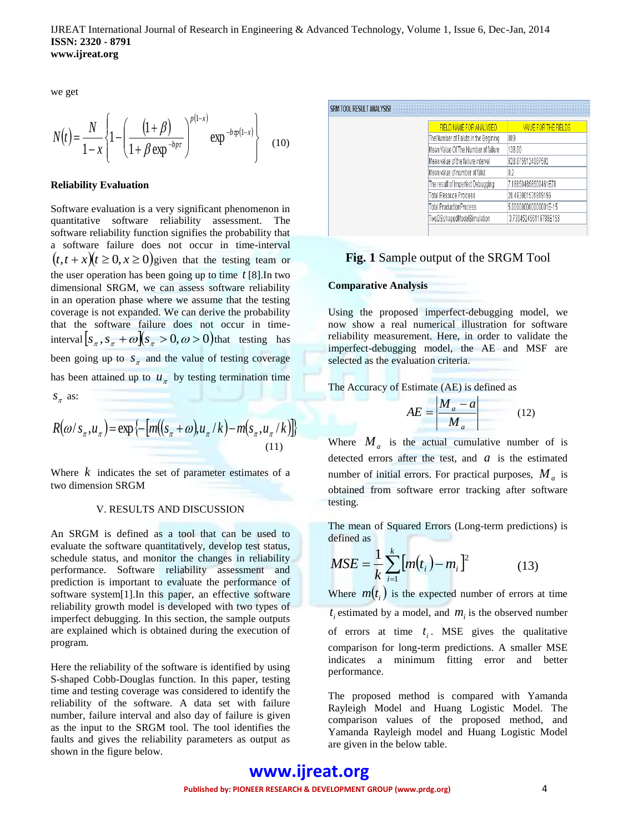we get

$$
N(t) = \frac{N}{1-x} \left\{ 1 - \left( \frac{(1+\beta)}{1+\beta \exp^{-bpt}} \right)^{p(1-x)} \exp^{-b\varphi(1-x)} \right\}
$$
(10)

#### **Reliability Evaluation**

Software evaluation is a very significant phenomenon in quantitative software reliability assessment. The software reliability function signifies the probability that a software failure does not occur in time-interval  $(t, t + x)(t \ge 0, x \ge 0)$ given that the testing team or the user operation has been going up to time *t* [8].In two dimensional SRGM, we can assess software reliability in an operation phase where we assume that the testing coverage is not expanded. We can derive the probability that the software failure does not occur in timeinterval  $[s_{\pi}, s_{\pi} + \omega][s_{\pi} > 0, \omega > 0)$  that testing has been going up to  $S_{\pi}$  and the value of testing coverage has been attained up to  $u_{\pi}$  by testing termination time  $S_{\pi}$  as:

$$
R(\omega/s_{\pi}, u_{\pi}) = \exp\left\{-\left[m((s_{\pi} + \omega)u_{\pi}/k) - m(s_{\pi}, u_{\pi}/k)\right]\right\}
$$
\n(11)

Where  $k$  indicates the set of parameter estimates of a two dimension SRGM

#### V. RESULTS AND DISCUSSION

An SRGM is defined as a tool that can be used to evaluate the software quantitatively, develop test status, schedule status, and monitor the changes in reliability performance. Software reliability assessment and prediction is important to evaluate the performance of software system[1].In this paper, an effective software reliability growth model is developed with two types of imperfect debugging. In this section, the sample outputs are explained which is obtained during the execution of program.

Here the reliability of the software is identified by using S-shaped Cobb-Douglas function. In this paper, testing time and testing coverage was considered to identify the reliability of the software. A data set with failure number, failure interval and also day of failure is given as the input to the SRGM tool. The tool identifies the faults and gives the reliability parameters as output as shown in the figure below.

#### SRM TOOL RESULT ANALYSIS!

| FIELD NAME FOR ANALYSED             | VAIUE FOR THE FIELDS  |  |
|-------------------------------------|-----------------------|--|
| TheNumber of Faluts in the Begining | 889                   |  |
| Mean Value Of The Number of failure | 138.00                |  |
| Mean value of the failure interval  | 628.8759124087592     |  |
| Mean value of number of falut       | 02                    |  |
| The result of imperfect Debugging   | 7.186504858500461E78  |  |
| <b>Total Resouce Proicess</b>       | 20.493901531919196    |  |
| <b>Total ProductionProcess</b>      | 5.000000000000001E-15 |  |
| TwoDSshapedModelSimulation          | 3.730452456116788E158 |  |
|                                     |                       |  |

#### **Fig. 1** Sample output of the SRGM Tool

#### **Comparative Analysis**

Using the proposed imperfect-debugging model, we now show a real numerical illustration for software reliability measurement. Here, in order to validate the imperfect-debugging model, the AE and MSF are selected as the evaluation criteria.

The Accuracy of Estimate (AE) is defined as

$$
AE = \left| \frac{M_a - a}{M_a} \right| \tag{12}
$$

Where  $M_a$  is the actual cumulative number of is detected errors after the test, and  $a$  is the estimated number of initial errors. For practical purposes, *M<sup>a</sup>* is obtained from software error tracking after software testing.

The mean of Squared Errors (Long-term predictions) is defined as

$$
MSE = \frac{1}{k} \sum_{i=1}^{k} [m(t_i) - m_i]^2
$$
 (13)

Where  $m(t_i)$  is the expected number of errors at time  $t_i$  estimated by a model, and  $m_i$  is the observed number of errors at time  $t_i$ . MSE gives the qualitative comparison for long-term predictions. A smaller MSE indicates a minimum fitting error and better performance.

The proposed method is compared with Yamanda Rayleigh Model and Huang Logistic Model. The comparison values of the proposed method, and Yamanda Rayleigh model and Huang Logistic Model are given in the below table.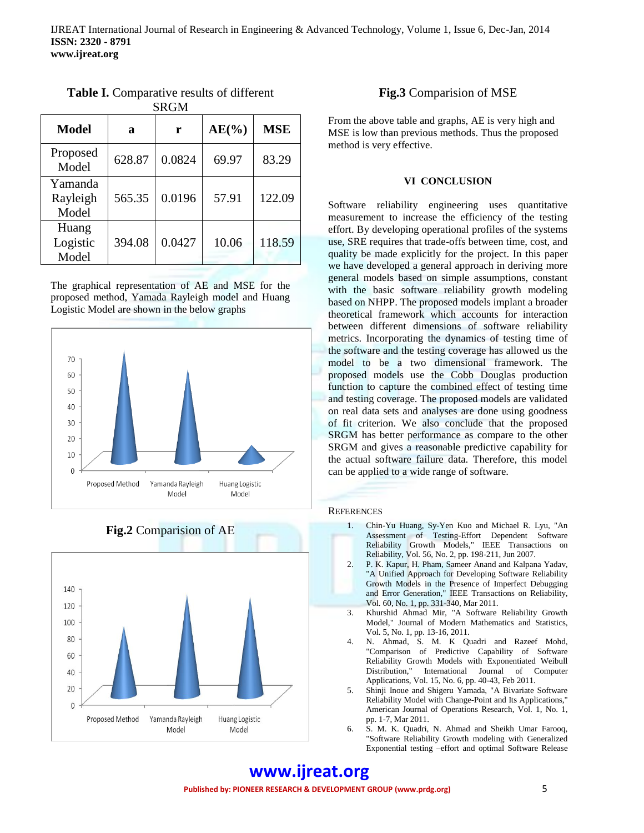| <b>Model</b>                 | a      | r      | $AE(\%)$ | <b>MSE</b> |
|------------------------------|--------|--------|----------|------------|
| Proposed<br>Model            | 628.87 | 0.0824 | 69.97    | 83.29      |
| Yamanda<br>Rayleigh<br>Model | 565.35 | 0.0196 | 57.91    | 122.09     |
| Huang<br>Logistic<br>Model   | 394.08 | 0.0427 | 10.06    | 118.59     |

**Table I.** Comparative results of different **SRGM** 

The graphical representation of AE and MSE for the proposed method, Yamada Rayleigh model and Huang Logistic Model are shown in the below graphs







### **Fig.3** Comparision of MSE

From the above table and graphs, AE is very high and MSE is low than previous methods. Thus the proposed method is very effective.

#### **VI CONCLUSION**

Software reliability engineering uses quantitative measurement to increase the efficiency of the testing effort. By developing operational profiles of the systems use, SRE requires that trade-offs between time, cost, and quality be made explicitly for the project. In this paper we have developed a general approach in deriving more general models based on simple assumptions, constant with the basic software reliability growth modeling based on NHPP. The proposed models implant a broader theoretical framework which accounts for interaction between different dimensions of software reliability metrics. Incorporating the dynamics of testing time of the software and the testing coverage has allowed us the model to be a two dimensional framework. The proposed models use the Cobb Douglas production function to capture the combined effect of testing time and testing coverage. The proposed models are validated on real data sets and analyses are done using goodness of fit criterion. We also conclude that the proposed SRGM has better performance as compare to the other SRGM and gives a reasonable predictive capability for the actual software failure data. Therefore, this model can be applied to a wide range of software.

#### **REFERENCES**

- 1. Chin-Yu Huang, Sy-Yen Kuo and Michael R. Lyu, "An Assessment of Testing-Effort Dependent Software Reliability Growth Models," IEEE Transactions on Reliability, Vol. 56, No. 2, pp. 198-211, Jun 2007.
- 2. P. K. Kapur, H. Pham, Sameer Anand and Kalpana Yadav, "A Unified Approach for Developing Software Reliability Growth Models in the Presence of Imperfect Debugging and Error Generation," IEEE Transactions on Reliability, Vol. 60, No. 1, pp. 331-340, Mar 2011.
- 3. Khurshid Ahmad Mir, "A Software Reliability Growth Model," Journal of Modern Mathematics and Statistics, Vol. 5, No. 1, pp. 13-16, 2011.
- 4. N. Ahmad, S. M. K Quadri and Razeef Mohd, "Comparison of Predictive Capability of Software Reliability Growth Models with Exponentiated Weibull Distribution," International Journal of Computer Applications, Vol. 15, No. 6, pp. 40-43, Feb 2011.
- 5. Shinji Inoue and Shigeru Yamada, "A Bivariate Software Reliability Model with Change-Point and Its Applications," American Journal of Operations Research, Vol. 1, No. 1, pp. 1-7, Mar 2011.
- 6. S. M. K. Quadri, N. Ahmad and Sheikh Umar Farooq, "Software Reliability Growth modeling with Generalized Exponential testing –effort and optimal Software Release

### **www.ijreat.org Published by: PIONEER RESEARCH & DEVELOPMENT GROUP (www.prdg.org)** 5